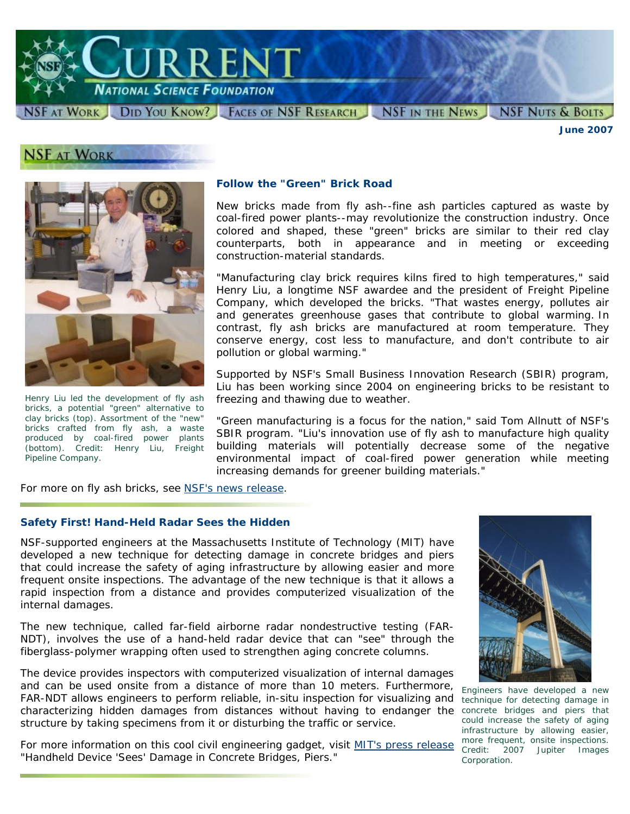

SF AT WORK DID YOU KNOW? FACES OF NSF RESEARCH NSF IN THE NEWS

**NSF NUTS & BOLTS** *June 2007* 

## **NSF AT WORK**



*Henry Liu led the development of fly ash bricks, a potential "green" alternative to clay bricks (top). Assortment of the "new" bricks crafted from fly ash, a waste produced by coal-fired power plants (bottom). Credit: Henry Liu, Freight Pipeline Company.* 

#### **Follow the "Green" Brick Road**

New bricks made from fly ash--fine ash particles captured as waste by coal-fired power plants--may revolutionize the construction industry. Once colored and shaped, these "green" bricks are similar to their red clay counterparts, both in appearance and in meeting or exceeding construction-material standards.

"Manufacturing clay brick requires kilns fired to high temperatures," said Henry Liu, a longtime NSF awardee and the president of Freight Pipeline Company, which developed the bricks. "That wastes energy, pollutes air and generates greenhouse gases that contribute to global warming. In contrast, fly ash bricks are manufactured at room temperature. They conserve energy, cost less to manufacture, and don't contribute to air pollution or global warming."

Supported by NSF's Small Business Innovation Research (SBIR) program, Liu has been working since 2004 on engineering bricks to be resistant to freezing and thawing due to weather.

"Green manufacturing is a focus for the nation," said Tom Allnutt of NSF's SBIR program. "Liu's innovation use of fly ash to manufacture high quality building materials will potentially decrease some of the negative environmental impact of coal-fired power generation while meeting increasing demands for greener building materials."

For more on fly ash bricks, see [NSF's news release.](http://www.nsf.gov/news/news_summ.jsp?cntn_id=109594&org=NSF&from=news)

#### **Safety First! Hand-Held Radar Sees the Hidden**

NSF-supported engineers at the Massachusetts Institute of Technology (MIT) have developed a new technique for detecting damage in concrete bridges and piers that could increase the safety of aging infrastructure by allowing easier and more frequent onsite inspections. The advantage of the new technique is that it allows a rapid inspection from a distance and provides computerized visualization of the internal damages.

The new technique, called far-field airborne radar nondestructive testing (FAR-NDT), involves the use of a hand-held radar device that can "see" through the fiberglass-polymer wrapping often used to strengthen aging concrete columns.

The device provides inspectors with computerized visualization of internal damages and can be used onsite from a distance of more than 10 meters. Furthermore, FAR-NDT allows engineers to perform reliable, in-situ inspection for visualizing and characterizing hidden damages from distances without having to endanger the *concrete bridges and piers that*  structure by taking specimens from it or disturbing the traffic or service.

For more information on this cool civil engineering gadget, visit [MIT's press release](http://web.mit.edu/newsoffice/2007/inspection-0518.html) more requent, onsite inspections. "Handheld Device 'Sees' Damage in Concrete Bridges, Piers."



*Engineers have developed a new technique for detecting damage in could increase the safety of aging infrastructure by allowing easier, more frequent, onsite inspections. Corporation.*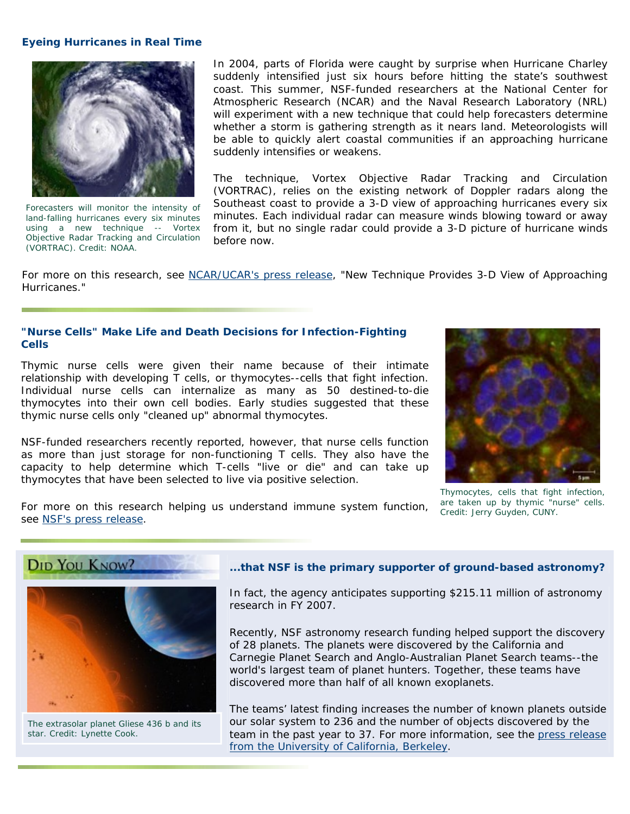#### **Eyeing Hurricanes in Real Time**



*Forecasters will monitor the intensity of land-falling hurricanes every six minutes using a new technique -- Vortex Objective Radar Tracking and Circulation (VORTRAC). Credit: NOAA.* 

In 2004, parts of Florida were caught by surprise when Hurricane Charley suddenly intensified just six hours before hitting the state's southwest coast. This summer, NSF-funded researchers at the National Center for Atmospheric Research (NCAR) and the Naval Research Laboratory (NRL) will experiment with a new technique that could help forecasters determine whether a storm is gathering strength as it nears land. Meteorologists will be able to quickly alert coastal communities if an approaching hurricane suddenly intensifies or weakens.

The technique, Vortex Objective Radar Tracking and Circulation (VORTRAC), relies on the existing network of Doppler radars along the Southeast coast to provide a 3-D view of approaching hurricanes every six minutes. Each individual radar can measure winds blowing toward or away from it, but no single radar could provide a 3-D picture of hurricane winds before now.

For more on this research, see [NCAR/UCAR's press release](http://www.ucar.edu/news/releases/2007/radar.shtml), "New Technique Provides 3-D View of Approaching Hurricanes."

#### **"Nurse Cells" Make Life and Death Decisions for Infection-Fighting Cells**

Thymic nurse cells were given their name because of their intimate relationship with developing T cells, or thymocytes--cells that fight infection. Individual nurse cells can internalize as many as 50 destined-to-die thymocytes into their own cell bodies. Early studies suggested that these thymic nurse cells only "cleaned up" abnormal thymocytes.

NSF-funded researchers recently reported, however, that nurse cells function as more than just storage for non-functioning T cells. They also have the capacity to help determine which T-cells "live or die" and can take up thymocytes that have been selected to live via positive selection.



*Thymocytes, cells that fight infection, are taken up by thymic "nurse" cells.* 

For more on this research helping us understand immune system function, are laken up by inymic in<br>see [NSF's press release](http://www.nsf.gov/news/news_summ.jsp?cntn_id=109601). see NSF's press release.





#### **...that NSF is the primary supporter of ground-based astronomy?**

In fact, the agency anticipates supporting \$215.11 million of astronomy research in FY 2007.

Recently, NSF astronomy research funding helped support the discovery of 28 planets. The planets were discovered by the California and Carnegie Planet Search and Anglo-Australian Planet Search teams--the world's largest team of planet hunters. Together, these teams have discovered more than half of all known exoplanets.

The teams' latest finding increases the number of known planets outside *The extrasolar planet Gliese 436 b and its* our solar system to 236 and the number of objects discovered by the *star. Credit: Lynette Cook.* team in the past year to 37. For more information, see the [press release](http://www.berkeley.edu/news/media/releases/2007/05/29_exoplanets.shtml)  [from the University of California, Berkeley](http://www.berkeley.edu/news/media/releases/2007/05/29_exoplanets.shtml).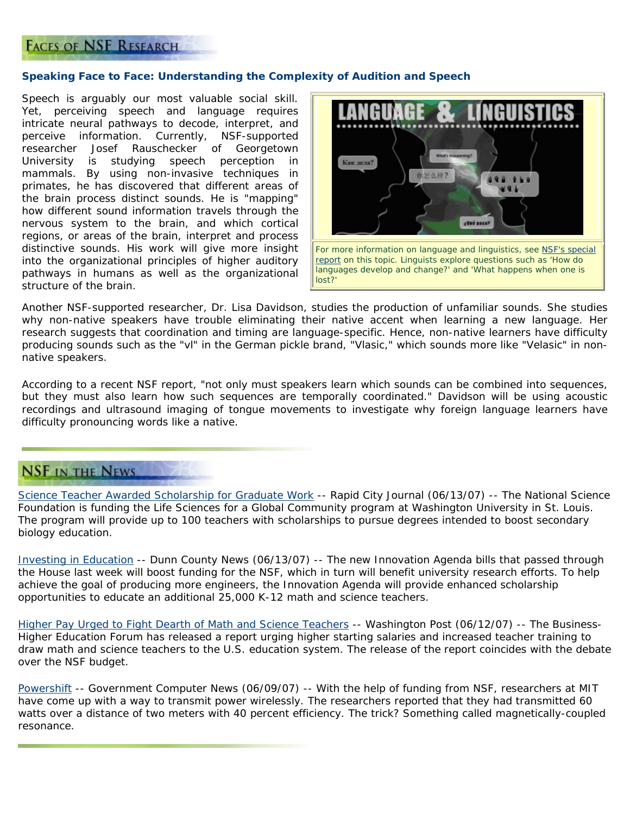### **FACES OF NSF RESEARCH**

#### **Speaking Face to Face: Understanding the Complexity of Audition and Speech**

Speech is arguably our most valuable social skill. Yet, perceiving speech and language requires intricate neural pathways to decode, interpret, and perceive information. Currently, NSF-supported researcher Josef Rauschecker of Georgetown University is studying speech perception in mammals. By using non-invasive techniques in primates, he has discovered that different areas of the brain process distinct sounds. He is "mapping" how different sound information travels through the nervous system to the brain, and which cortical regions, or areas of the brain, interpret and process distinctive sounds. His work will give more insight into the organizational principles of higher auditory pathways in humans as well as the organizational structure of the brain.



Another NSF-supported researcher, Dr. Lisa Davidson, studies the production of unfamiliar sounds. She studies why non-native speakers have trouble eliminating their native accent when learning a new language. Her research suggests that coordination and timing are language-specific. Hence, non-native learners have difficulty producing sounds such as the "vl" in the German pickle brand, "Vlasic," which sounds more like "Velasic" in nonnative speakers.

According to a recent NSF report, "not only must speakers learn which sounds can be combined into sequences, but they must also learn how such sequences are temporally coordinated." Davidson will be using acoustic recordings and ultrasound imaging of tongue movements to investigate why foreign language learners have difficulty pronouncing words like a native.

## **NSF IN THE NEWS**

[Science Teacher Awarded Scholarship for Graduate Work](http://www.rapidcityjournal.com/articles/2007/06/14/news/local/doc4670c8a35a874801575850.txt) -- *Rapid City Journal (06/13/07)* -- The National Science Foundation is funding the Life Sciences for a Global Community program at Washington University in St. Louis. The program will provide up to 100 teachers with scholarships to pursue degrees intended to boost secondary biology education.

[Investing in Education](http://www.dunnconnect.com/articles/2007/06/13/news/news04.txt) -- *Dunn County News (06/13/07)* -- The new Innovation Agenda bills that passed through the House last week will boost funding for the NSF, which in turn will benefit university research efforts. To help achieve the goal of producing more engineers, the Innovation Agenda will provide enhanced scholarship opportunities to educate an additional 25,000 K-12 math and science teachers.

[Higher Pay Urged to Fight Dearth of Math and Science Teachers](http://www.washingtonpost.com/wp-dyn/content/article/2007/06/11/AR2007061102110.html) -- *Washington Post (06/12/07)* -- The Business-Higher Education Forum has released a report urging higher starting salaries and increased teacher training to draw math and science teachers to the U.S. education system. The release of the report coincides with the debate over the NSF budget.

[Powershift](http://www.gcn.com/blogs/tech/44443.html) -- *Government Computer News (06/09/07)* -- With the help of funding from NSF, researchers at MIT have come up with a way to transmit power wirelessly. The researchers reported that they had transmitted 60 watts over a distance of two meters with 40 percent efficiency. The trick? Something called magnetically-coupled resonance.